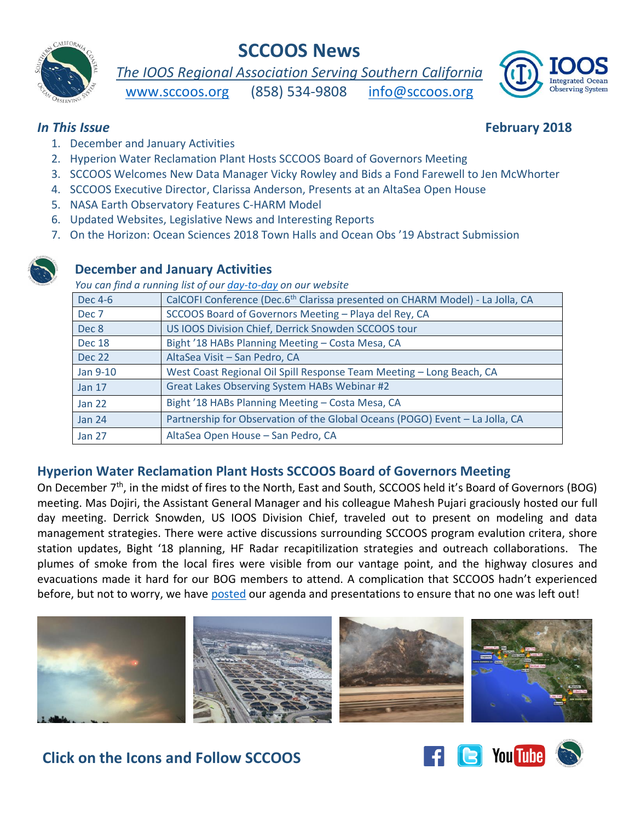## **SCCOOS News**



# *The IOOS Regional Association Serving Southern California*

[www.sccoos.org](http://www.sccoos.org/) (858) 534-9808 [info@sccoos.org](mailto:info@sccoos.org)



#### *In This Issue* **February 2018**

- 1. December and January Activities
- 2. Hyperion Water Reclamation Plant Hosts SCCOOS Board of Governors Meeting
- 3. SCCOOS Welcomes New Data Manager Vicky Rowley and Bids a Fond Farewell to Jen McWhorter
- 4. SCCOOS Executive Director, Clarissa Anderson, Presents at an AltaSea Open House
- 5. NASA Earth Observatory Features C-HARM Model
- 6. Updated Websites, Legislative News and Interesting Reports
- 7. On the Horizon: Ocean Sciences 2018 Town Halls and Ocean Obs '19 Abstract Submission

### **December and January Activities**

*You can find a running list of our [day-to-day](http://sccoos.org/about/news/activity-log/) on our website* 

| Dec 4-6       | CalCOFI Conference (Dec.6 <sup>th</sup> Clarissa presented on CHARM Model) - La Jolla, CA |
|---------------|-------------------------------------------------------------------------------------------|
| Dec 7         | SCCOOS Board of Governors Meeting - Playa del Rey, CA                                     |
| Dec 8         | US IOOS Division Chief, Derrick Snowden SCCOOS tour                                       |
| Dec 18        | Bight '18 HABs Planning Meeting - Costa Mesa, CA                                          |
| <b>Dec 22</b> | AltaSea Visit - San Pedro, CA                                                             |
| Jan 9-10      | West Coast Regional Oil Spill Response Team Meeting - Long Beach, CA                      |
| <b>Jan 17</b> | Great Lakes Observing System HABs Webinar #2                                              |
| <b>Jan 22</b> | Bight '18 HABs Planning Meeting - Costa Mesa, CA                                          |
| <b>Jan 24</b> | Partnership for Observation of the Global Oceans (POGO) Event - La Jolla, CA              |
| <b>Jan 27</b> | AltaSea Open House - San Pedro, CA                                                        |

### **Hyperion Water Reclamation Plant Hosts SCCOOS Board of Governors Meeting**

On December 7<sup>th</sup>, in the midst of fires to the North, East and South, SCCOOS held it's Board of Governors (BOG) meeting. Mas Dojiri, the Assistant General Manager and his colleague Mahesh Pujari graciously hosted our full day meeting. Derrick Snowden, US IOOS Division Chief, traveled out to present on modeling and data management strategies. There were active discussions surrounding SCCOOS program evalution critera, shore station updates, Bight '18 planning, HF Radar recapitilization strategies and outreach collaborations. The plumes of smoke from the local fires were visible from our vantage point, and the highway closures and evacuations made it hard for our BOG members to attend. A complication that SCCOOS hadn't experienced before, but not to worry, we have [posted](http://sccoos.org/about/meetings/bog/dec-2017-bog/) our agenda and presentations to ensure that no one was left out!



# **Click on the Icons and Follow SCCOOS**

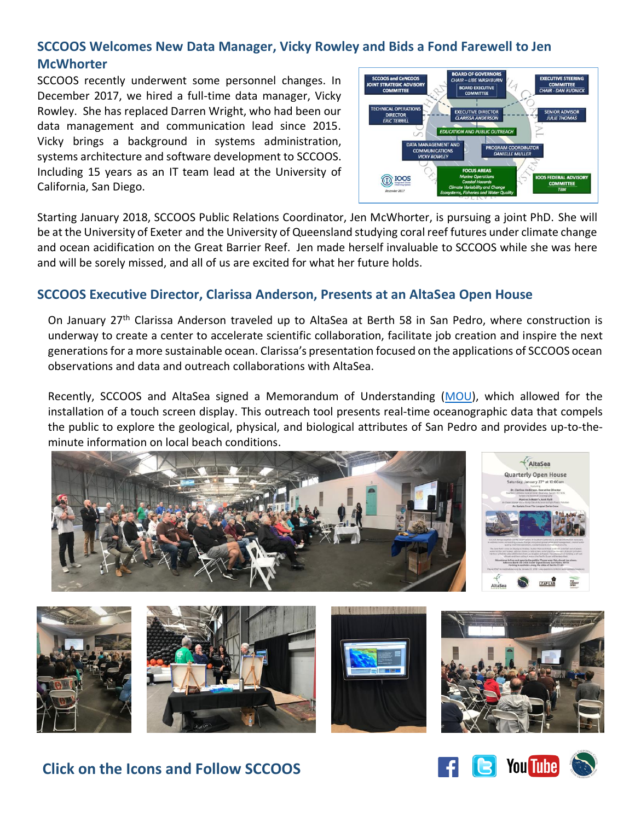### **SCCOOS Welcomes New Data Manager, Vicky Rowley and Bids a Fond Farewell to Jen McWhorter**

SCCOOS recently underwent some personnel changes. In December 2017, we hired a full-time data manager, Vicky Rowley. She has replaced Darren Wright, who had been our data management and communication lead since 2015. Vicky brings a background in systems administration, systems architecture and software development to SCCOOS. Including 15 years as an IT team lead at the University of California, San Diego.



Starting January 2018, SCCOOS Public Relations Coordinator, Jen McWhorter, is pursuing a joint PhD. She will be at the University of Exeter and the University of Queensland studying coral reef futures under climate change and ocean acidification on the Great Barrier Reef. Jen made herself invaluable to SCCOOS while she was here and will be sorely missed, and all of us are excited for what her future holds.

### **SCCOOS Executive Director, Clarissa Anderson, Presents at an AltaSea Open House**

On January 27<sup>th</sup> Clarissa Anderson traveled up to AltaSea at Berth 58 in San Pedro, where construction is underway to create a center to accelerate scientific collaboration, facilitate job creation and inspire the next generations for a more sustainable ocean. Clarissa's presentation focused on the applications of SCCOOS ocean observations and data and outreach collaborations with AltaSea.

Recently, SCCOOS and AltaSea signed a Memorandum of Understanding [\(MOU\)](http://sccoos.org/media/filer_public/49/24/4924deec-d690-4874-b011-47f66372830b/altasea_sccoos_mou_signed_12617.pdf), which allowed for the installation of a touch screen display. This outreach tool presents real-time oceanographic data that compels the public to explore the geological, physical, and biological attributes of San Pedro and provides up-to-theminute information on local beach conditions.





**Click on the Icons and Follow SCCOOS**